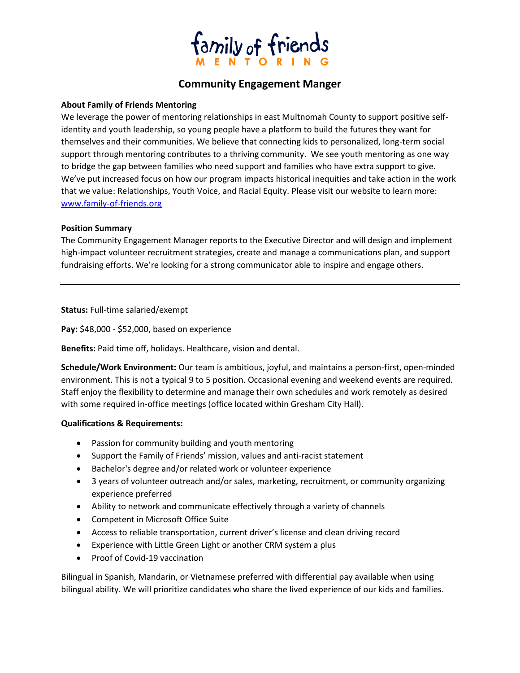

# **Community Engagement Manger**

## **About Family of Friends Mentoring**

We leverage the power of mentoring relationships in east Multnomah County to support positive selfidentity and youth leadership, so young people have a platform to build the futures they want for themselves and their communities. We believe that connecting kids to personalized, long-term social support through mentoring contributes to a thriving community. We see youth mentoring as one way to bridge the gap between families who need support and families who have extra support to give. We've put increased focus on how our program impacts historical inequities and take action in the work that we value: Relationships, Youth Voice, and Racial Equity. Please visit our website to learn more: www.family-of-friends.org

#### **Position Summary**

The Community Engagement Manager reports to the Executive Director and will design and implement high-impact volunteer recruitment strategies, create and manage a communications plan, and support fundraising efforts. We're looking for a strong communicator able to inspire and engage others.

**Status:** Full-time salaried/exempt

**Pay:** \$48,000 - \$52,000, based on experience

**Benefits:** Paid time off, holidays. Healthcare, vision and dental.

**Schedule/Work Environment:** Our team is ambitious, joyful, and maintains a person-first, open-minded environment. This is not a typical 9 to 5 position. Occasional evening and weekend events are required. Staff enjoy the flexibility to determine and manage their own schedules and work remotely as desired with some required in-office meetings (office located within Gresham City Hall).

#### **Qualifications & Requirements:**

- Passion for community building and youth mentoring
- Support the Family of Friends' mission, values and anti-racist statement
- Bachelor's degree and/or related work or volunteer experience
- 3 years of volunteer outreach and/or sales, marketing, recruitment, or community organizing experience preferred
- Ability to network and communicate effectively through a variety of channels
- Competent in Microsoft Office Suite
- Access to reliable transportation, current driver's license and clean driving record
- Experience with Little Green Light or another CRM system a plus
- Proof of Covid-19 vaccination

Bilingual in Spanish, Mandarin, or Vietnamese preferred with differential pay available when using bilingual ability. We will prioritize candidates who share the lived experience of our kids and families.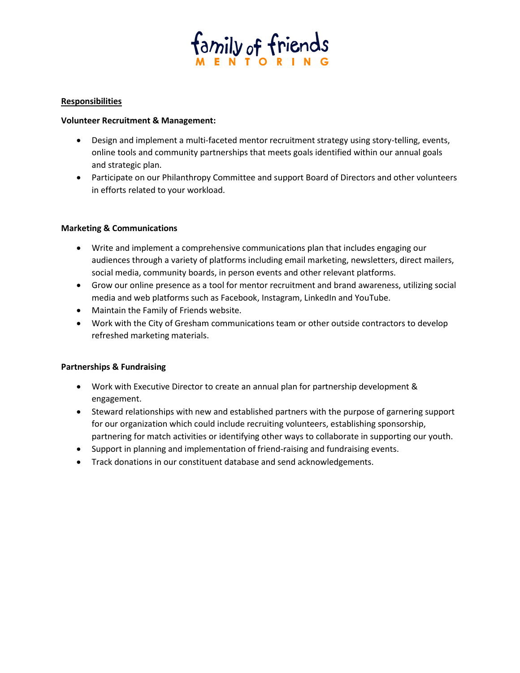

## **Responsibilities**

#### **Volunteer Recruitment & Management:**

- Design and implement a multi-faceted mentor recruitment strategy using story-telling, events, online tools and community partnerships that meets goals identified within our annual goals and strategic plan.
- Participate on our Philanthropy Committee and support Board of Directors and other volunteers in efforts related to your workload.

# **Marketing & Communications**

- Write and implement a comprehensive communications plan that includes engaging our audiences through a variety of platforms including email marketing, newsletters, direct mailers, social media, community boards, in person events and other relevant platforms.
- Grow our online presence as a tool for mentor recruitment and brand awareness, utilizing social media and web platforms such as Facebook, Instagram, LinkedIn and YouTube.
- Maintain the Family of Friends website.
- Work with the City of Gresham communications team or other outside contractors to develop refreshed marketing materials.

# **Partnerships & Fundraising**

- Work with Executive Director to create an annual plan for partnership development & engagement.
- Steward relationships with new and established partners with the purpose of garnering support for our organization which could include recruiting volunteers, establishing sponsorship, partnering for match activities or identifying other ways to collaborate in supporting our youth.
- Support in planning and implementation of friend-raising and fundraising events.
- Track donations in our constituent database and send acknowledgements.